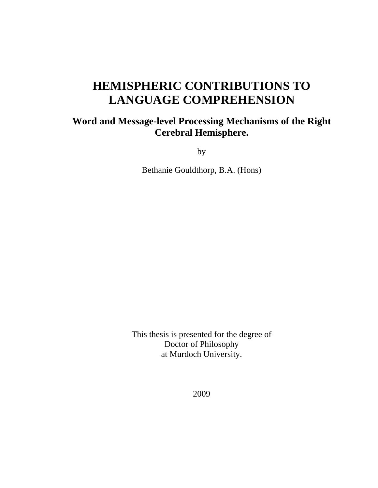# **HEMISPHERIC CONTRIBUTIONS TO LANGUAGE COMPREHENSION**

## **Word and Message-level Processing Mechanisms of the Right Cerebral Hemisphere.**

by

Bethanie Gouldthorp, B.A. (Hons)

This thesis is presented for the degree of Doctor of Philosophy at Murdoch University.

2009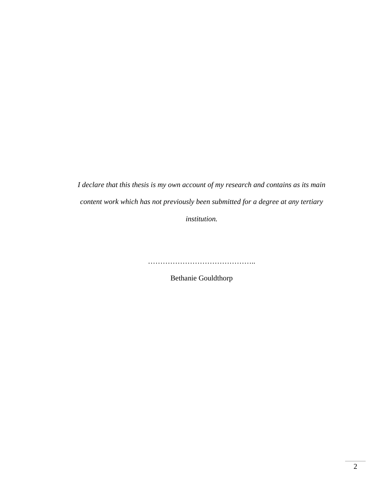*I declare that this thesis is my own account of my research and contains as its main content work which has not previously been submitted for a degree at any tertiary* 

*institution.* 

………………………………………………

Bethanie Gouldthorp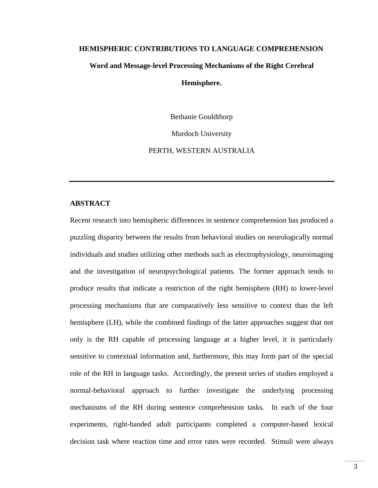#### **HEMISPHERIC CONTRIBUTIONS TO LANGUAGE COMPREHENSION**

#### **Word and Message-level Processing Mechanisms of the Right Cerebral**

#### **Hemisphere.**

Bethanie Gouldthorp

Murdoch University

PERTH, WESTERN AUSTRALIA

#### **ABSTRACT**

Recent research into hemispheric differences in sentence comprehension has produced a puzzling disparity between the results from behavioral studies on neurologically normal individuals and studies utilizing other methods such as electrophysiology, neuroimaging and the investigation of neuropsychological patients. The former approach tends to produce results that indicate a restriction of the right hemisphere (RH) to lower-level processing mechanisms that are comparatively less sensitive to context than the left hemisphere (LH), while the combined findings of the latter approaches suggest that not only is the RH capable of processing language at a higher level, it is particularly sensitive to contextual information and, furthermore, this may form part of the special role of the RH in language tasks. Accordingly, the present series of studies employed a normal-behavioral approach to further investigate the underlying processing mechanisms of the RH during sentence comprehension tasks. In each of the four experiments, right-handed adult participants completed a computer-based lexical decision task where reaction time and error rates were recorded. Stimuli were always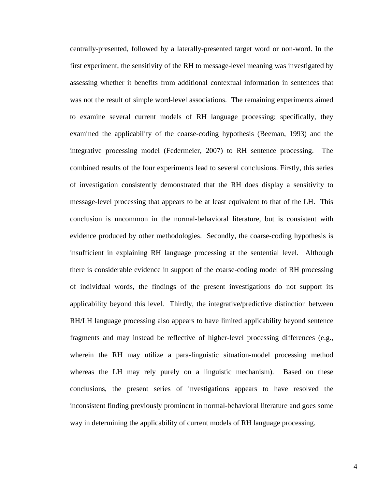centrally-presented, followed by a laterally-presented target word or non-word. In the first experiment, the sensitivity of the RH to message-level meaning was investigated by assessing whether it benefits from additional contextual information in sentences that was not the result of simple word-level associations. The remaining experiments aimed to examine several current models of RH language processing; specifically, they examined the applicability of the coarse-coding hypothesis (Beeman, 1993) and the integrative processing model (Federmeier, 2007) to RH sentence processing. The combined results of the four experiments lead to several conclusions. Firstly, this series of investigation consistently demonstrated that the RH does display a sensitivity to message-level processing that appears to be at least equivalent to that of the LH. This conclusion is uncommon in the normal-behavioral literature, but is consistent with evidence produced by other methodologies. Secondly, the coarse-coding hypothesis is insufficient in explaining RH language processing at the sentential level. Although there is considerable evidence in support of the coarse-coding model of RH processing of individual words, the findings of the present investigations do not support its applicability beyond this level. Thirdly, the integrative/predictive distinction between RH/LH language processing also appears to have limited applicability beyond sentence fragments and may instead be reflective of higher-level processing differences (e.g., wherein the RH may utilize a para-linguistic situation-model processing method whereas the LH may rely purely on a linguistic mechanism). Based on these conclusions, the present series of investigations appears to have resolved the inconsistent finding previously prominent in normal-behavioral literature and goes some way in determining the applicability of current models of RH language processing.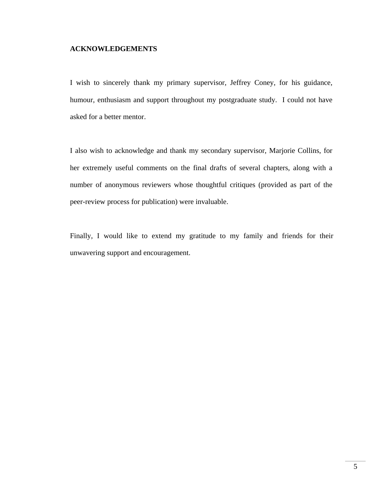#### **ACKNOWLEDGEMENTS**

I wish to sincerely thank my primary supervisor, Jeffrey Coney, for his guidance, humour, enthusiasm and support throughout my postgraduate study. I could not have asked for a better mentor.

I also wish to acknowledge and thank my secondary supervisor, Marjorie Collins, for her extremely useful comments on the final drafts of several chapters, along with a number of anonymous reviewers whose thoughtful critiques (provided as part of the peer-review process for publication) were invaluable.

Finally, I would like to extend my gratitude to my family and friends for their unwavering support and encouragement.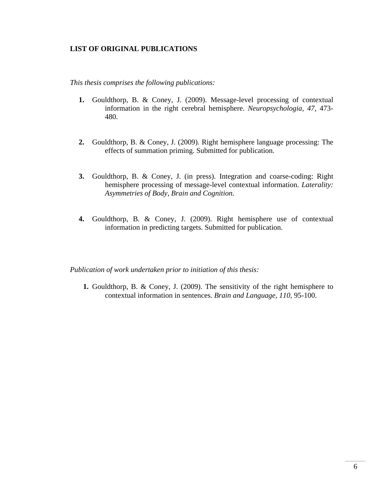#### **LIST OF ORIGINAL PUBLICATIONS**

*This thesis comprises the following publications:* 

- **1.** Gouldthorp, B. & Coney, J. (2009). Message-level processing of contextual information in the right cerebral hemisphere. *Neuropsychologia, 47,* 473- 480.
- **2.** Gouldthorp, B. & Coney, J. (2009). Right hemisphere language processing: The effects of summation priming. Submitted for publication.
- **3.** Gouldthorp, B. & Coney, J. (in press). Integration and coarse-coding: Right hemisphere processing of message-level contextual information. *Laterality: Asymmetries of Body, Brain and Cognition.*
- **4.** Gouldthorp, B. & Coney, J. (2009). Right hemisphere use of contextual information in predicting targets. Submitted for publication.

*Publication of work undertaken prior to initiation of this thesis:* 

**1.** Gouldthorp, B. & Coney, J. (2009). The sensitivity of the right hemisphere to contextual information in sentences. *Brain and Language*, *110*, 95-100.